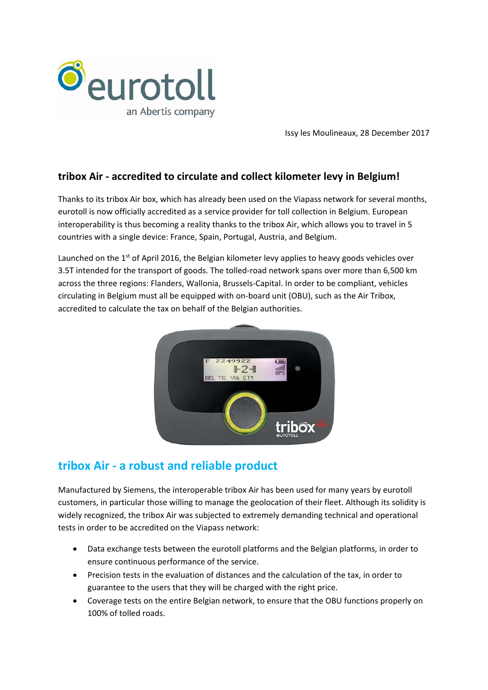

Issy les Moulineaux, 28 December 2017

## **tribox Air ‐ accredited to circulate and collect kilometer levy in Belgium!**

Thanks to its tribox Air box, which has already been used on the Viapass network for several months, eurotoll is now officially accredited as a service provider for toll collection in Belgium. European interoperability is thus becoming a reality thanks to the tribox Air, which allows you to travel in 5 countries with a single device: France, Spain, Portugal, Austria, and Belgium.

Launched on the 1<sup>st</sup> of April 2016, the Belgian kilometer levy applies to heavy goods vehicles over 3.5T intended for the transport of goods. The tolled‐road network spans over more than 6,500 km across the three regions: Flanders, Wallonia, Brussels‐Capital. In order to be compliant, vehicles circulating in Belgium must all be equipped with on‐board unit (OBU), such as the Air Tribox, accredited to calculate the tax on behalf of the Belgian authorities.



## **tribox Air ‐ a robust and reliable product**

Manufactured by Siemens, the interoperable tribox Air has been used for many years by eurotoll customers, in particular those willing to manage the geolocation of their fleet. Although its solidity is widely recognized, the tribox Air was subjected to extremely demanding technical and operational tests in order to be accredited on the Viapass network:

- Data exchange tests between the eurotoll platforms and the Belgian platforms, in order to ensure continuous performance of the service.
- Precision tests in the evaluation of distances and the calculation of the tax, in order to guarantee to the users that they will be charged with the right price.
- Coverage tests on the entire Belgian network, to ensure that the OBU functions properly on 100% of tolled roads.